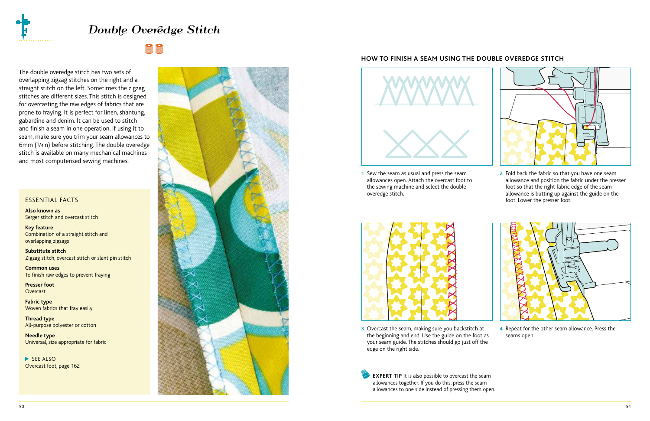# Double Overêdge Stitch

The double overedge stitch has two sets of overlapping zigzag stitches on the right and a straight stitch on the left. Sometimes the zigzag stitches are different sizes. This stitch is designed for overcasting the raw edges of fabrics that are prone to fraying. It is perfect for linen, shantung, gabardine and denim. It can be used to stitch and finish a seam in one operation. If using it to seam, make sure you trim your seam allowances to 6mm (1/4in) before stitching. The double overedge stitch is available on many mechanical machines and most computerised sewing machines.

## ESSENTIAL FACTS

**Also known as** Serger stitch and overcast stitch

**Key feature** Combination of a straight stitch and overlapping zigzags

**Substitute stitch** Zigzag stitch, overcast stitch or slant pin stitch

**Common uses** To finish raw edges to prevent fraying

**Presser foot Overcast** 

**Fabric type** Woven fabrics that fray easily

**Thread type** All-purpose polyester or cotton

**Needle type** Universal, size appropriate for fabric

**SEE ALSO** Overcast foot, page 162



### **HOW TO FINISH A SEAM USING THE DOUBLE OVEREDGE STITCH**



**1 2** Sew the seam as usual and press the seam allowances open. Attach the overcast foot to the sewing machine and select the double overedge stitch.



2 Fold back the fabric so that you have one seam allowance and position the fabric under the presser foot so that the right fabric edge of the seam allowance is butting up against the guide on the foot. Lower the presser foot.



**3** Overcast the seam, making sure you backstitch at 4 the beginning and end. Use the guide on the foot as your seam guide. The stitches should go just off the edge on the right side.

**EXPERT TIP** It is also possible to overcast the seam allowances together. If you do this, press the seam allowances to one side instead of pressing them open.



4 Repeat for the other seam allowance. Press the seams open.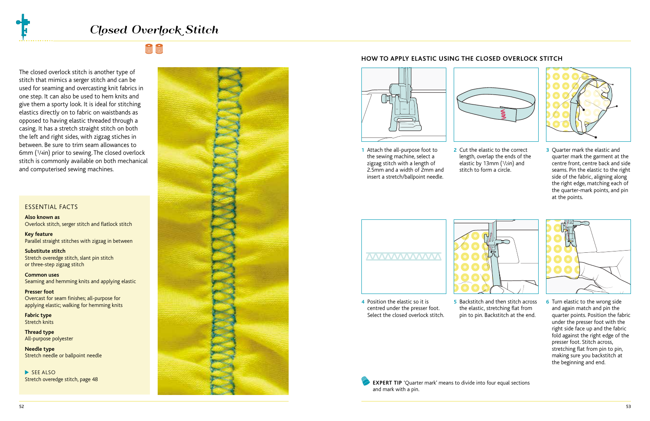The closed overlock stitch is another type of stitch that mimics a serger stitch and can be used for seaming and overcasting knit fabrics in one step. It can also be used to hem knits and give them a sporty look. It is ideal for stitching elastics directly on to fabric on waistbands as opposed to having elastic threaded through a casing. It has a stretch straight stitch on both the left and right sides, with zigzag stiches in between. Be sure to trim seam allowances to 6mm (1/4in) prior to sewing. The closed overlock stitch is commonly available on both mechanical and computerised sewing machines.

### ESSENTIAL FACTS

**Also known as** Overlock stitch, serger stitch and flatlock stitch

**Key feature** Parallel straight stitches with zigzag in between

**Substitute stitch** Stretch overedge stitch, slant pin stitch or three-step zigzag stitch

**Common uses** Seaming and hemming knits and applying elastic

**Presser foot**  Overcast for seam finishes; all-purpose for applying elastic; walking for hemming knits

**Fabric type** Stretch knits

**Thread type** All-purpose polyester

**Needle type** Stretch needle or ballpoint needle

**SEE ALSO** Stretch overedge stitch, page 48



#### **HOW TO APPLY ELASTIC USING THE CLOSED OVERLOCK STITCH**



**1** Attach the all-purpose foot to **2** Cut the elastic to the correct 3 1 Attach the all-purpose foot to the sewing machine, select a zigzag stitch with a length of 2.5mm and a width of 2mm and insert a stretch/ballpoint needle.



length, overlap the ends of the elastic by 13mm (1/2in) and stitch to form a circle.



**3** Ouarter mark the elastic and quarter mark the garment at the centre front, centre back and side seams. Pin the elastic to the right side of the fabric, aligning along the right edge, matching each of the quarter-mark points, and pin at the points.



- 4 Position the elastic so it is centred under the presser foot. Select the closed overlock stitch.
- 
- **4** Position the elastic so it is **5** Backstitch and then stitch across 6 the elastic, stretching flat from pin to pin. Backstitch at the end.



6 Turn elastic to the wrong side and again match and pin the quarter points. Position the fabric under the presser foot with the right side face up and the fabric fold against the right edge of the presser foot. Stitch across, stretching flat from pin to pin, making sure you backstitch at the beginning and end.

**EXPERT TIP** 'Quarter mark' means to divide into four equal sections and mark with a pin.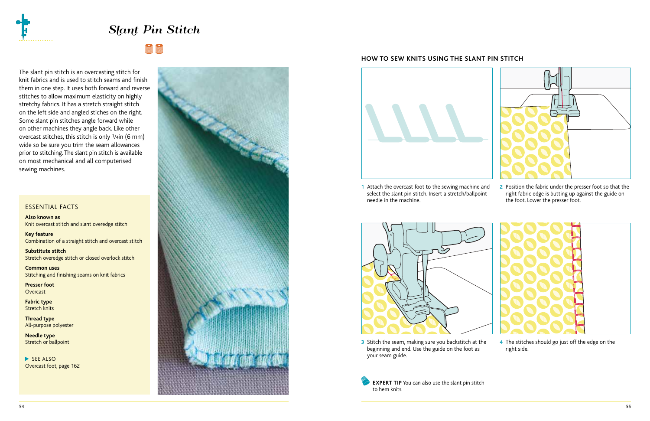# Slant Pin Stitch

# **Richarge**

The slant pin stitch is an overcasting stitch for knit fabrics and is used to stitch seams and finish them in one step. It uses both forward and reverse stitches to allow maximum elasticity on highly stretchy fabrics. It has a stretch straight stitch on the left side and angled stiches on the right. Some slant pin stitches angle forward while on other machines they angle back. Like other overcast stitches, this stitch is only 1/4in (6 mm) wide so be sure you trim the seam allowances prior to stitching. The slant pin stitch is available on most mechanical and all computerised sewing machines.

### ESSENTIAL FACTS

**Also known as** Knit overcast stitch and slant overedge stitch

**Key feature** Combination of a straight stitch and overcast stitch

**Substitute stitch** Stretch overedge stitch or closed overlock stitch

**Common uses** Stitching and finishing seams on knit fabrics

**Presser foot Overcast** 

**Fabric type** Stretch knits

**Thread type** All-purpose polyester

**Needle type** Stretch or ballpoint

**SEE ALSO** Overcast foot, page 162



#### **HOW TO SEW KNITS USING THE SLANT PIN STITCH**



**1 2** Attach the overcast foot to the sewing machine and select the slant pin stitch. Insert a stretch/ballpoint needle in the machine.



2 Position the fabric under the presser foot so that the right fabric edge is butting up against the guide on the foot. Lower the presser foot.



**3** Stitch the seam, making sure you backstitch at the 4 beginning and end. Use the guide on the foot as your seam guide.

4 The stitches should go just off the edge on the

right side.

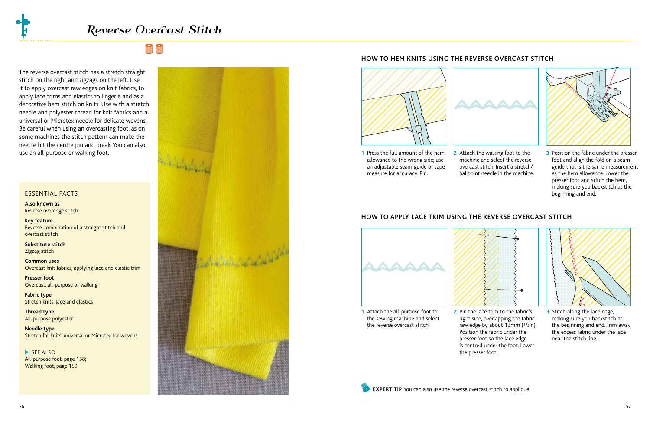# **Richarge**

The reverse overcast stitch has a stretch straight stitch on the right and zigzags on the left. Use it to apply overcast raw edges on knit fabrics, to apply lace trims and elastics to lingerie and as a decorative hem stitch on knits. Use with a stretch needle and polyester thread for knit fabrics and a universal or Microtex needle for delicate wovens. Be careful when using an overcasting foot, as on some machines the stitch pattern can make the needle hit the centre pin and break. You can also use an all-purpose or walking foot.

#### ESSENTIAL FACTS

**Also known as** Reverse overedge stitch

**Key feature** Reverse combination of a straight stitch and overcast stitch

**Substitute stitch** Zigzag stitch

**Common uses** Overcast knit fabrics, applying lace and elastic trim

**Presser foot**  Overcast, all-purpose or walking

**Fabric type** Stretch knits, lace and elastics

**Thread type** All-purpose polyester

**Needle type** Stretch for knits; universal or Microtex for wovens

**SEE ALSO** All-purpose foot, page 158; Walking foot, page 159



## **HOW TO HEM KNITS USING THE REVERSE OVERCAST STITCH**



**1 2 3** Press the full amount of the hem allowance to the wrong side; use an adjustable seam guide or tape measure for accuracy. Pin.



machine and select the reverse overcast stitch. Insert a stretch/ ballpoint needle in the machine.



**3** Position the fabric under the presser foot and align the fold on a seam guide that is the same measurement as the hem allowance. Lower the presser foot and stitch the hem, making sure you backstitch at the beginning and end.

## **HOW TO APPLY LACE TRIM USING THE REVERSE OVERCAST STITCH**



the sewing machine and select the reverse overcast stitch.



**1 2 3** Attach the all-purpose foot to 2 Pin the lace trim to the fabric's right side, overlapping the fabric raw edge by about 13mm (1/2in). Position the fabric under the presser foot so the lace edge is centred under the foot. Lower the presser foot.



3 Stitch along the lace edge, making sure you backstitch at the beginning and end. Trim away the excess fabric under the lace near the stitch line.

**EXPERT TIP** You can also use the reverse overcast stitch to appliqué.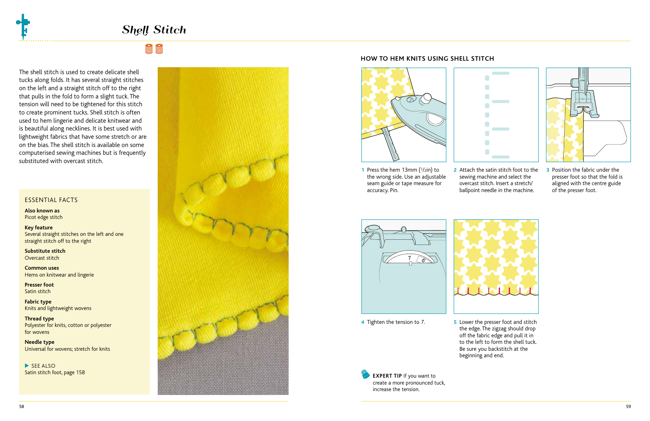# **Richarge**

The shell stitch is used to create delicate shell tucks along folds. It has several straight stitches on the left and a straight stitch off to the right that pulls in the fold to form a slight tuck. The tension will need to be tightened for this stitch to create prominent tucks. Shell stitch is often used to hem lingerie and delicate knitwear and is beautiful along necklines. It is best used with lightweight fabrics that have some stretch or are on the bias. The shell stitch is available on some computerised sewing machines but is frequently substituted with overcast stitch.

### ESSENTIAL FACTS

**Also known as** Picot edge stitch

**Key feature** Several straight stitches on the left and one straight stitch off to the right

**Substitute stitch** Overcast stitch

**Common uses** Hems on knitwear and lingerie

**Presser foot**  Satin stitch

**Fabric type** Knits and lightweight wovens

**Thread type** Polyester for knits, cotton or polyester for wovens

**Needle type** Universal for wovens; stretch for knits

**SEE ALSO** Satin stitch foot, page 158



# **HOW TO HEM KNITS USING SHELL STITCH**



- **1** Press the hem 13mm (1/2in) to **2** Attach the satin stitch foot to the **3** the wrong side. Use an adjustable seam guide or tape measure for accuracy. Pin.
- 2 Attach the satin stitch foot to the sewing machine and select the overcast stitch. Insert a stretch/ ballpoint needle in the machine.

 $\blacksquare$ 

**3** Position the fabric under the presser foot so that the fold is aligned with the centre guide of the presser foot.



**4** Tighten the tension to 7.

5 Lower the presser foot and stitch the edge. The zigzag should drop off the fabric edge and pull it in to the left to form the shell tuck. Be sure you backstitch at the beginning and end.

**EXPERT TIP** If you want to create a more pronounced tuck, increase the tension.